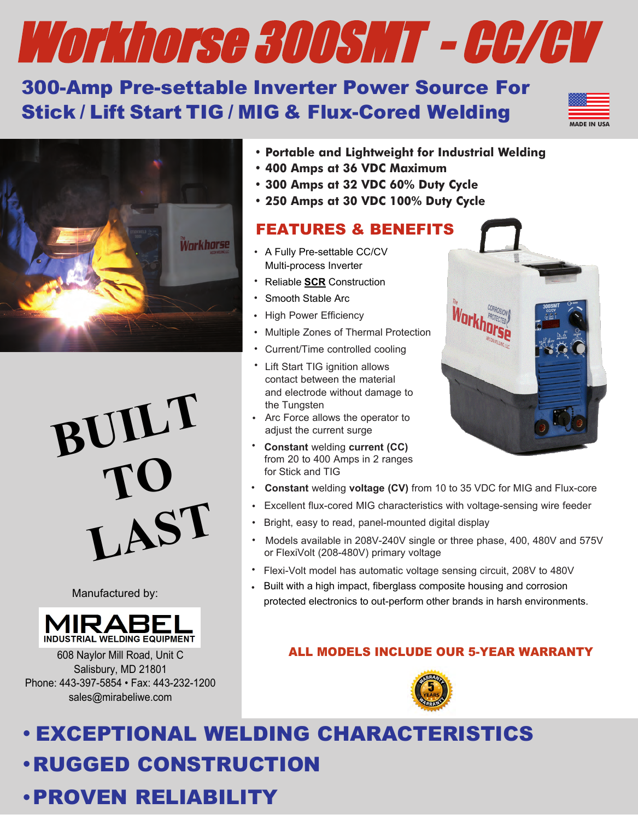# Workhorse 300SMT - CC/CV

## 300-Amp Pre-settable Inverter Power Source For Stick / Lift Start TIG / MIG & Flux-Cored Welding

|  | Æ. |  |
|--|----|--|
|  |    |  |
|  |    |  |
|  |    |  |
|  |    |  |



**BUILT TO LAST**

Manufactured by:



608 Naylor Mill Road, Unit C Salisbury, MD 21801 Phone: 443-397-5854 • Fax: 443-232-1200 sales@mirabeliwe.com

- **Portable and Lightweight for Industrial Welding**
- **400 Amps at 36 VDC Maximum**
- **300 Amps at 32 VDC 60% Duty Cycle**
- **250 Amps at 30 VDC 100% Duty Cycle**

## FEATURES & BENEFITS

- A Fully Pre-settable CC/CV Multi-process Inverter
- Reliable **SCR** Construction
- Smooth Stable Arc
- High Power Efficiency
- Multiple Zones of Thermal Protection
- Current/Time controlled cooling
- Lift Start TIG ignition allows contact between the material and electrode without damage to the Tungsten
- Arc Force allows the operator to adjust the current surge
- **Constant** welding **current (CC)** from 20 to 400 Amps in 2 ranges for Stick and TIG
- **Constant** welding **voltage (CV)** from 10 to 35 VDC for MIG and Flux-core
- Excellent flux-cored MIG characteristics with voltage-sensing wire feeder •
- Bright, easy to read, panel-mounted digital display
- Models available in 208V-240V single or three phase, 400, 480V and 575V or FlexiVolt (208-480V) primary voltage
- Flexi-Volt model has automatic voltage sensing circuit, 208V to 480V
- Built with a high impact, fiberglass composite housing and corrosion protected electronics to out-perform other brands in harsh environments. •

## ALL MODELS INCLUDE OUR 5-YEAR WARRANTY



# **•**RUGGED CONSTRUCTION **•** EXCEPTIONAL WELDING CHARACTERISTICS

# **•**PROVEN RELIABILITY